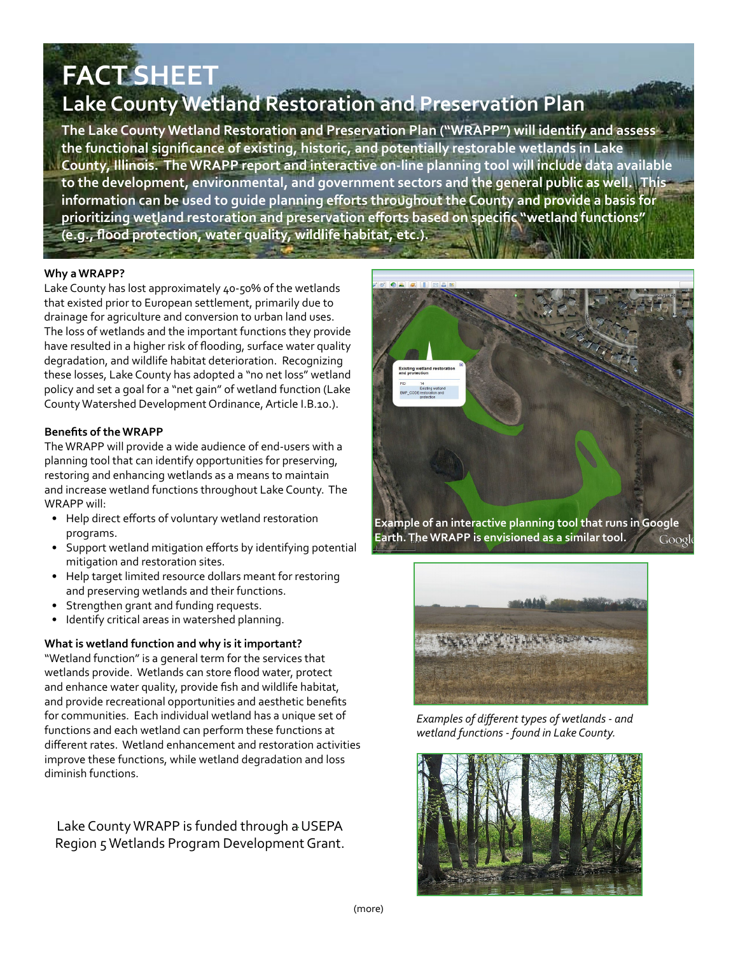# **FACT SHEET**

# **Lake County Wetland Restoration and Preservation Plan**

**The Lake County Wetland Restoration and Preservation Plan ("WRAPP") will identify and assess the functional significance of existing, historic, and potentially restorable wetlands in Lake County, Illinois. The WRAPP report and interactive on-line planning tool will include data available to the development, environmental, and government sectors and the general public as well. This information can be used to guide planning efforts throughout the County and provide a basis for prioritizing wetland restoration and preservation efforts based on specific "wetland functions" (e.g., flood protection, water quality, wildlife habitat, etc.).**

# **Why a WRAPP?**

Lake County has lost approximately 40-50% of the wetlands that existed prior to European settlement, primarily due to drainage for agriculture and conversion to urban land uses. The loss of wetlands and the important functions they provide have resulted in a higher risk of flooding, surface water quality degradation, and wildlife habitat deterioration. Recognizing these losses, Lake County has adopted a "no net loss" wetland policy and set a goal for a "net gain" of wetland function (Lake County Watershed Development Ordinance, Article I.B.10.).

# **Benefits of the WRAPP**

The WRAPP will provide a wide audience of end-users with a planning tool that can identify opportunities for preserving, restoring and enhancing wetlands as a means to maintain and increase wetland functions throughout Lake County. The WRAPP will:

- Help direct efforts of voluntary wetland restoration programs.
- Support wetland mitigation efforts by identifying potential mitigation and restoration sites.
- Help target limited resource dollars meant for restoring and preserving wetlands and their functions.
- Strengthen grant and funding requests.
- Identify critical areas in watershed planning.

# **What is wetland function and why is it important?**

"Wetland function" is a general term for the services that wetlands provide. Wetlands can store flood water, protect and enhance water quality, provide fish and wildlife habitat, and provide recreational opportunities and aesthetic benefits for communities. Each individual wetland has a unique set of functions and each wetland can perform these functions at different rates. Wetland enhancement and restoration activities improve these functions, while wetland degradation and loss diminish functions.

# Lake County WRAPP is funded through a USEPA Region 5 Wetlands Program Development Grant.



**Earth. The WRAPP is envisioned as a similar tool.** Google



*Examples of different types of wetlands - and wetland functions - found in Lake County.*